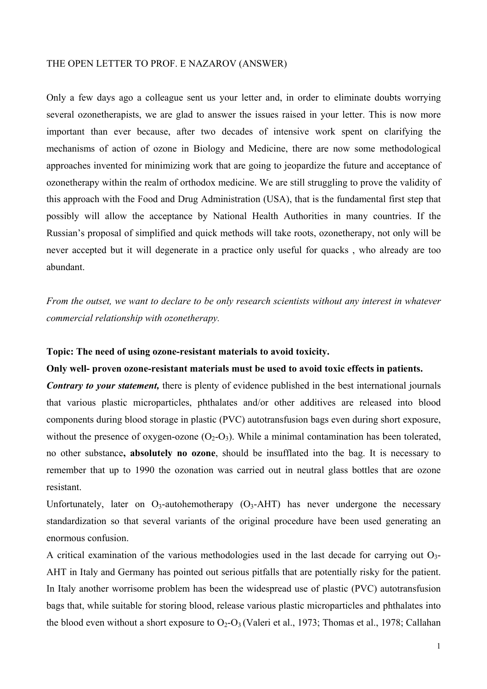### THE OPEN LETTER TO PROF. E NAZAROV (ANSWER)

Only a few days ago a colleague sent us your letter and, in order to eliminate doubts worrying several ozonetherapists, we are glad to answer the issues raised in your letter. This is now more important than ever because, after two decades of intensive work spent on clarifying the mechanisms of action of ozone in Biology and Medicine, there are now some methodological approaches invented for minimizing work that are going to jeopardize the future and acceptance of ozonetherapy within the realm of orthodox medicine. We are still struggling to prove the validity of this approach with the Food and Drug Administration (USA), that is the fundamental first step that possibly will allow the acceptance by National Health Authorities in many countries. If the Russian's proposal of simplified and quick methods will take roots, ozonetherapy, not only will be never accepted but it will degenerate in a practice only useful for quacks , who already are too abundant.

*From the outset, we want to declare to be only research scientists without any interest in whatever commercial relationship with ozonetherapy.* 

#### **Topic: The need of using ozone-resistant materials to avoid toxicity.**

## **Only well- proven ozone-resistant materials must be used to avoid toxic effects in patients.**

*Contrary to your statement,* there is plenty of evidence published in the best international journals that various plastic microparticles, phthalates and/or other additives are released into blood components during blood storage in plastic (PVC) autotransfusion bags even during short exposure, without the presence of oxygen-ozone  $(O_2-O_3)$ . While a minimal contamination has been tolerated, no other substance**, absolutely no ozone**, should be insufflated into the bag. It is necessary to remember that up to 1990 the ozonation was carried out in neutral glass bottles that are ozone resistant.

Unfortunately, later on  $O_3$ -autohemotherapy  $(O_3$ -AHT) has never undergone the necessary standardization so that several variants of the original procedure have been used generating an enormous confusion.

A critical examination of the various methodologies used in the last decade for carrying out  $O<sub>3</sub>$ AHT in Italy and Germany has pointed out serious pitfalls that are potentially risky for the patient. In Italy another worrisome problem has been the widespread use of plastic (PVC) autotransfusion bags that, while suitable for storing blood, release various plastic microparticles and phthalates into the blood even without a short exposure to  $O_2-O_3$  (Valeri et al., 1973; Thomas et al., 1978; Callahan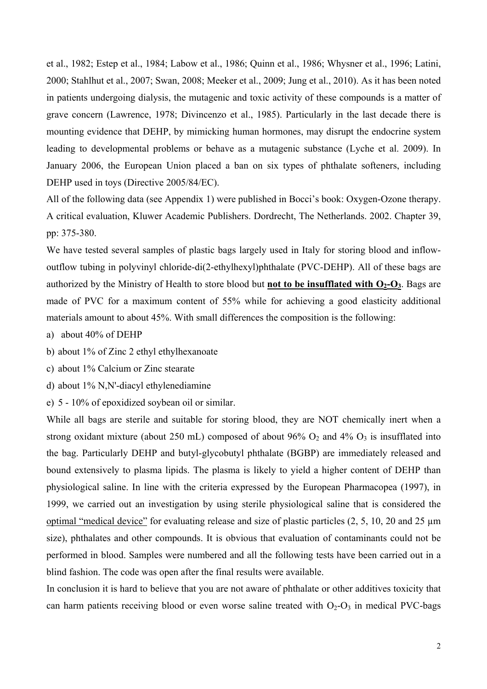et al., 1982; Estep et al., 1984; Labow et al., 1986; Quinn et al., 1986; Whysner et al., 1996; Latini, 2000; Stahlhut et al., 2007; Swan, 2008; Meeker et al., 2009; Jung et al., 2010). As it has been noted in patients undergoing dialysis, the mutagenic and toxic activity of these compounds is a matter of grave concern (Lawrence, 1978; Divincenzo et al., 1985). Particularly in the last decade there is mounting evidence that DEHP, by mimicking human hormones, may disrupt the endocrine system leading to developmental problems or behave as a mutagenic substance (Lyche et al. 2009). In January 2006, the European Union placed a ban on six types of phthalate softeners, including DEHP used in toys (Directive 2005/84/EC).

All of the following data (see Appendix 1) were published in Bocci's book: Oxygen-Ozone therapy. A critical evaluation, Kluwer Academic Publishers. Dordrecht, The Netherlands. 2002. Chapter 39, pp: 375-380.

We have tested several samples of plastic bags largely used in Italy for storing blood and inflowoutflow tubing in polyvinyl chloride-di(2-ethylhexyl)phthalate (PVC-DEHP). All of these bags are authorized by the Ministry of Health to store blood but **not to be insufflated with**  $O_2-O_3$ . Bags are made of PVC for a maximum content of 55% while for achieving a good elasticity additional materials amount to about 45%. With small differences the composition is the following:

- a) about 40% of DEHP
- b) about 1% of Zinc 2 ethyl ethylhexanoate
- c) about 1% Calcium or Zinc stearate
- d) about 1% N,N'-diacyl ethylenediamine
- e) 5 10% of epoxidized soybean oil or similar.

While all bags are sterile and suitable for storing blood, they are NOT chemically inert when a strong oxidant mixture (about 250 mL) composed of about 96%  $O_2$  and 4%  $O_3$  is insufflated into the bag. Particularly DEHP and butyl-glycobutyl phthalate (BGBP) are immediately released and bound extensively to plasma lipids. The plasma is likely to yield a higher content of DEHP than physiological saline. In line with the criteria expressed by the European Pharmacopea (1997), in 1999, we carried out an investigation by using sterile physiological saline that is considered the optimal "medical device" for evaluating release and size of plastic particles (2, 5, 10, 20 and 25 µm size), phthalates and other compounds. It is obvious that evaluation of contaminants could not be performed in blood. Samples were numbered and all the following tests have been carried out in a blind fashion. The code was open after the final results were available.

In conclusion it is hard to believe that you are not aware of phthalate or other additives toxicity that can harm patients receiving blood or even worse saline treated with  $O_2-O_3$  in medical PVC-bags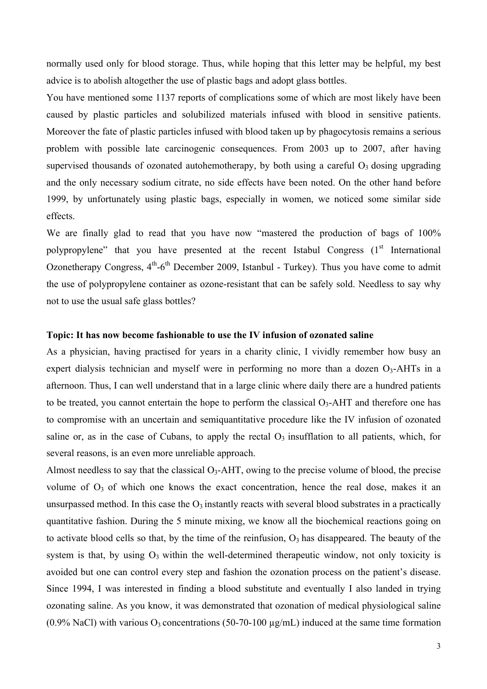normally used only for blood storage. Thus, while hoping that this letter may be helpful, my best advice is to abolish altogether the use of plastic bags and adopt glass bottles.

You have mentioned some 1137 reports of complications some of which are most likely have been caused by plastic particles and solubilized materials infused with blood in sensitive patients. Moreover the fate of plastic particles infused with blood taken up by phagocytosis remains a serious problem with possible late carcinogenic consequences. From 2003 up to 2007, after having supervised thousands of ozonated autohemotherapy, by both using a careful  $O<sub>3</sub>$  dosing upgrading and the only necessary sodium citrate, no side effects have been noted. On the other hand before 1999, by unfortunately using plastic bags, especially in women, we noticed some similar side effects.

We are finally glad to read that you have now "mastered the production of bags of 100% polypropylene" that you have presented at the recent Istabul Congress  $(1<sup>st</sup> International)$ Ozonetherapy Congress,  $4<sup>th</sup> - 6<sup>th</sup>$  December 2009, Istanbul - Turkey). Thus you have come to admit the use of polypropylene container as ozone-resistant that can be safely sold. Needless to say why not to use the usual safe glass bottles?

#### **Topic: It has now become fashionable to use the IV infusion of ozonated saline**

As a physician, having practised for years in a charity clinic, I vividly remember how busy an expert dialysis technician and myself were in performing no more than a dozen  $O_3$ -AHTs in a afternoon. Thus, I can well understand that in a large clinic where daily there are a hundred patients to be treated, you cannot entertain the hope to perform the classical  $O_3$ -AHT and therefore one has to compromise with an uncertain and semiquantitative procedure like the IV infusion of ozonated saline or, as in the case of Cubans, to apply the rectal  $O_3$  insufflation to all patients, which, for several reasons, is an even more unreliable approach.

Almost needless to say that the classical  $O_3$ -AHT, owing to the precise volume of blood, the precise volume of  $O_3$  of which one knows the exact concentration, hence the real dose, makes it an unsurpassed method. In this case the  $O_3$  instantly reacts with several blood substrates in a practically quantitative fashion. During the 5 minute mixing, we know all the biochemical reactions going on to activate blood cells so that, by the time of the reinfusion,  $O_3$  has disappeared. The beauty of the system is that, by using  $O_3$  within the well-determined therapeutic window, not only toxicity is avoided but one can control every step and fashion the ozonation process on the patient's disease. Since 1994, I was interested in finding a blood substitute and eventually I also landed in trying ozonating saline. As you know, it was demonstrated that ozonation of medical physiological saline (0.9% NaCl) with various  $O_3$  concentrations (50-70-100  $\mu$ g/mL) induced at the same time formation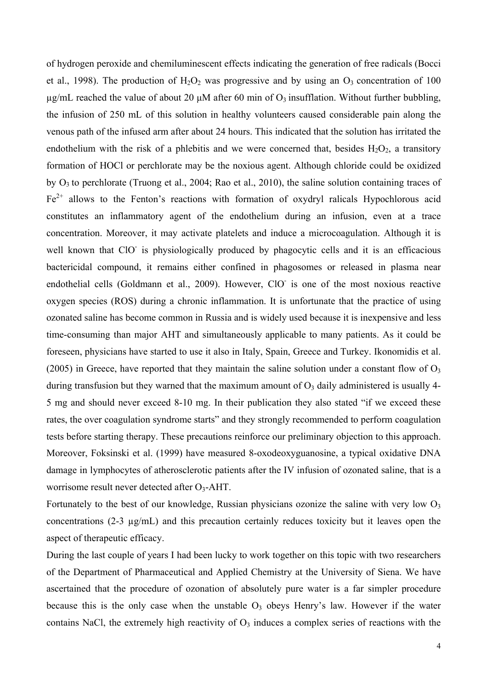of hydrogen peroxide and chemiluminescent effects indicating the generation of free radicals (Bocci et al., 1998). The production of  $H_2O_2$  was progressive and by using an  $O_3$  concentration of 100  $\mu$ g/mL reached the value of about 20  $\mu$ M after 60 min of O<sub>3</sub> insufflation. Without further bubbling, the infusion of 250 mL of this solution in healthy volunteers caused considerable pain along the venous path of the infused arm after about 24 hours. This indicated that the solution has irritated the endothelium with the risk of a phlebitis and we were concerned that, besides  $H_2O_2$ , a transitory formation of HOCl or perchlorate may be the noxious agent. Although chloride could be oxidized by O3 to perchlorate (Truong et al., 2004; Rao et al., 2010), the saline solution containing traces of  $Fe<sup>2+</sup>$  allows to the Fenton's reactions with formation of oxydryl ralicals Hypochlorous acid constitutes an inflammatory agent of the endothelium during an infusion, even at a trace concentration. Moreover, it may activate platelets and induce a microcoagulation. Although it is well known that ClO is physiologically produced by phagocytic cells and it is an efficacious bactericidal compound, it remains either confined in phagosomes or released in plasma near endothelial cells (Goldmann et al., 2009). However, ClO is one of the most noxious reactive oxygen species (ROS) during a chronic inflammation. It is unfortunate that the practice of using ozonated saline has become common in Russia and is widely used because it is inexpensive and less time-consuming than major AHT and simultaneously applicable to many patients. As it could be foreseen, physicians have started to use it also in Italy, Spain, Greece and Turkey. Ikonomidis et al. (2005) in Greece, have reported that they maintain the saline solution under a constant flow of  $O_3$ during transfusion but they warned that the maximum amount of  $O_3$  daily administered is usually 4-5 mg and should never exceed 8-10 mg. In their publication they also stated "if we exceed these rates, the over coagulation syndrome starts" and they strongly recommended to perform coagulation tests before starting therapy. These precautions reinforce our preliminary objection to this approach. Moreover, Foksinski et al. (1999) have measured 8-oxodeoxyguanosine, a typical oxidative DNA damage in lymphocytes of atherosclerotic patients after the IV infusion of ozonated saline, that is a worrisome result never detected after O<sub>3</sub>-AHT.

Fortunately to the best of our knowledge, Russian physicians ozonize the saline with very low  $O<sub>3</sub>$ concentrations (2-3 µg/mL) and this precaution certainly reduces toxicity but it leaves open the aspect of therapeutic efficacy.

During the last couple of years I had been lucky to work together on this topic with two researchers of the Department of Pharmaceutical and Applied Chemistry at the University of Siena. We have ascertained that the procedure of ozonation of absolutely pure water is a far simpler procedure because this is the only case when the unstable  $O_3$  obeys Henry's law. However if the water contains NaCl, the extremely high reactivity of  $O<sub>3</sub>$  induces a complex series of reactions with the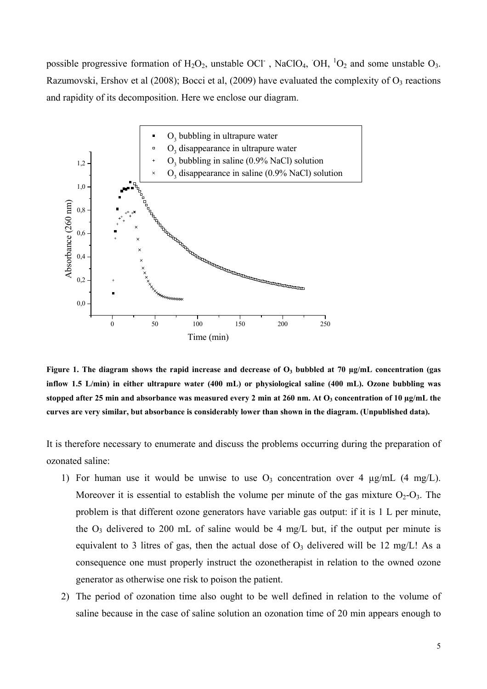possible progressive formation of  $H_2O_2$ , unstable OCl<sup>-</sup>, NaClO<sub>4</sub>, OH, <sup>1</sup>O<sub>2</sub> and some unstable O<sub>3</sub>. Razumovski, Ershov et al (2008); Bocci et al, (2009) have evaluated the complexity of  $O_3$  reactions and rapidity of its decomposition. Here we enclose our diagram.



Figure 1. The diagram shows the rapid increase and decrease of O<sub>3</sub> bubbled at 70 µg/mL concentration (gas **inflow 1.5 L/min) in either ultrapure water (400 mL) or physiological saline (400 mL). Ozone bubbling was**  stopped after 25 min and absorbance was measured every 2 min at 260 nm. At O<sub>3</sub> concentration of 10 µg/mL the **curves are very similar, but absorbance is considerably lower than shown in the diagram. (Unpublished data).** 

It is therefore necessary to enumerate and discuss the problems occurring during the preparation of ozonated saline:

- 1) For human use it would be unwise to use  $O_3$  concentration over 4  $\mu$ g/mL (4 mg/L). Moreover it is essential to establish the volume per minute of the gas mixture  $O_2-O_3$ . The problem is that different ozone generators have variable gas output: if it is 1 L per minute, the  $O_3$  delivered to 200 mL of saline would be 4 mg/L but, if the output per minute is equivalent to 3 litres of gas, then the actual dose of  $O<sub>3</sub>$  delivered will be 12 mg/L! As a consequence one must properly instruct the ozonetherapist in relation to the owned ozone generator as otherwise one risk to poison the patient.
- 2) The period of ozonation time also ought to be well defined in relation to the volume of saline because in the case of saline solution an ozonation time of 20 min appears enough to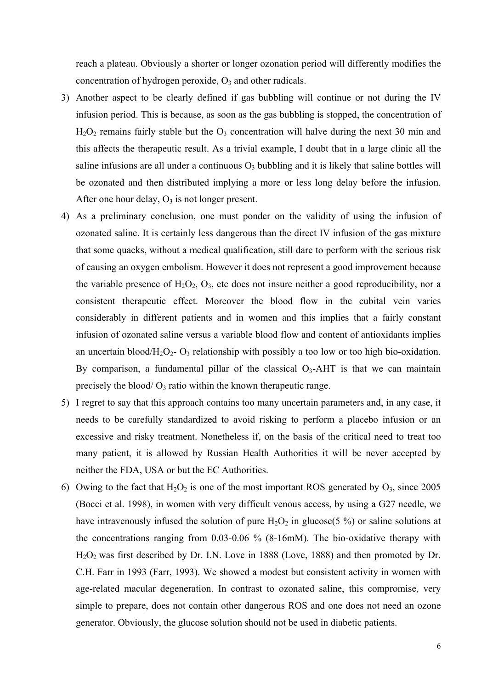reach a plateau. Obviously a shorter or longer ozonation period will differently modifies the concentration of hydrogen peroxide,  $O_3$  and other radicals.

- 3) Another aspect to be clearly defined if gas bubbling will continue or not during the IV infusion period. This is because, as soon as the gas bubbling is stopped, the concentration of  $H<sub>2</sub>O<sub>2</sub>$  remains fairly stable but the  $O<sub>3</sub>$  concentration will halve during the next 30 min and this affects the therapeutic result. As a trivial example, I doubt that in a large clinic all the saline infusions are all under a continuous  $O_3$  bubbling and it is likely that saline bottles will be ozonated and then distributed implying a more or less long delay before the infusion. After one hour delay,  $O_3$  is not longer present.
- 4) As a preliminary conclusion, one must ponder on the validity of using the infusion of ozonated saline. It is certainly less dangerous than the direct IV infusion of the gas mixture that some quacks, without a medical qualification, still dare to perform with the serious risk of causing an oxygen embolism. However it does not represent a good improvement because the variable presence of  $H_2O_2$ ,  $O_3$ , etc does not insure neither a good reproducibility, nor a consistent therapeutic effect. Moreover the blood flow in the cubital vein varies considerably in different patients and in women and this implies that a fairly constant infusion of ozonated saline versus a variable blood flow and content of antioxidants implies an uncertain blood/H<sub>2</sub>O<sub>2</sub>- O<sub>3</sub> relationship with possibly a too low or too high bio-oxidation. By comparison, a fundamental pillar of the classical  $O<sub>3</sub>$ -AHT is that we can maintain precisely the blood/ $O_3$  ratio within the known therapeutic range.
- 5) I regret to say that this approach contains too many uncertain parameters and, in any case, it needs to be carefully standardized to avoid risking to perform a placebo infusion or an excessive and risky treatment. Nonetheless if, on the basis of the critical need to treat too many patient, it is allowed by Russian Health Authorities it will be never accepted by neither the FDA, USA or but the EC Authorities.
- 6) Owing to the fact that  $H_2O_2$  is one of the most important ROS generated by  $O_3$ , since 2005 (Bocci et al. 1998), in women with very difficult venous access, by using a G27 needle, we have intravenously infused the solution of pure  $H_2O_2$  in glucose(5 %) or saline solutions at the concentrations ranging from 0.03-0.06 % (8-16mM). The bio-oxidative therapy with H2O2 was first described by Dr. I.N. Love in 1888 (Love, 1888) and then promoted by Dr. C.H. Farr in 1993 (Farr, 1993). We showed a modest but consistent activity in women with age-related macular degeneration. In contrast to ozonated saline, this compromise, very simple to prepare, does not contain other dangerous ROS and one does not need an ozone generator. Obviously, the glucose solution should not be used in diabetic patients.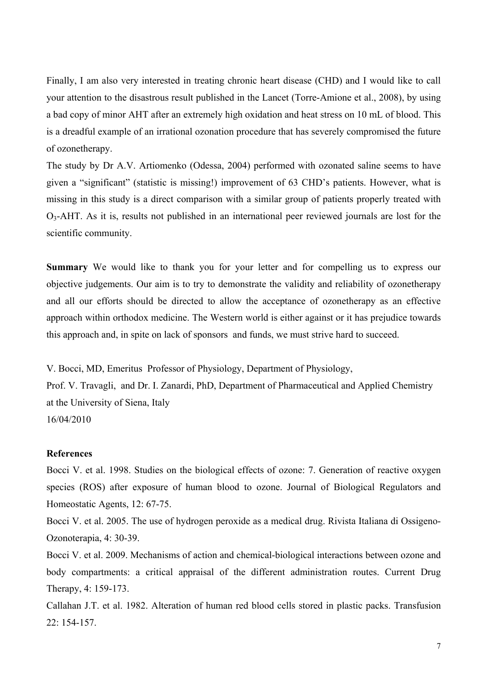Finally, I am also very interested in treating chronic heart disease (CHD) and I would like to call your attention to the disastrous result published in the Lancet (Torre-Amione et al., 2008), by using a bad copy of minor AHT after an extremely high oxidation and heat stress on 10 mL of blood. This is a dreadful example of an irrational ozonation procedure that has severely compromised the future of ozonetherapy.

The study by Dr A.V. Artiomenko (Odessa, 2004) performed with ozonated saline seems to have given a "significant" (statistic is missing!) improvement of 63 CHD's patients. However, what is missing in this study is a direct comparison with a similar group of patients properly treated with O3-AHT. As it is, results not published in an international peer reviewed journals are lost for the scientific community.

**Summary** We would like to thank you for your letter and for compelling us to express our objective judgements. Our aim is to try to demonstrate the validity and reliability of ozonetherapy and all our efforts should be directed to allow the acceptance of ozonetherapy as an effective approach within orthodox medicine. The Western world is either against or it has prejudice towards this approach and, in spite on lack of sponsors and funds, we must strive hard to succeed.

V. Bocci, MD, Emeritus Professor of Physiology, Department of Physiology, Prof. V. Travagli, and Dr. I. Zanardi, PhD, Department of Pharmaceutical and Applied Chemistry at the University of Siena, Italy 16/04/2010

### **References**

Bocci V. et al. 1998. Studies on the biological effects of ozone: 7. Generation of reactive oxygen species (ROS) after exposure of human blood to ozone. Journal of Biological Regulators and Homeostatic Agents, 12: 67-75.

Bocci V. et al. 2005. The use of hydrogen peroxide as a medical drug. Rivista Italiana di Ossigeno-Ozonoterapia, 4: 30-39.

Bocci V. et al. 2009. Mechanisms of action and chemical-biological interactions between ozone and body compartments: a critical appraisal of the different administration routes. Current Drug Therapy, 4: 159-173.

Callahan J.T. et al. 1982. Alteration of human red blood cells stored in plastic packs. Transfusion 22: 154-157.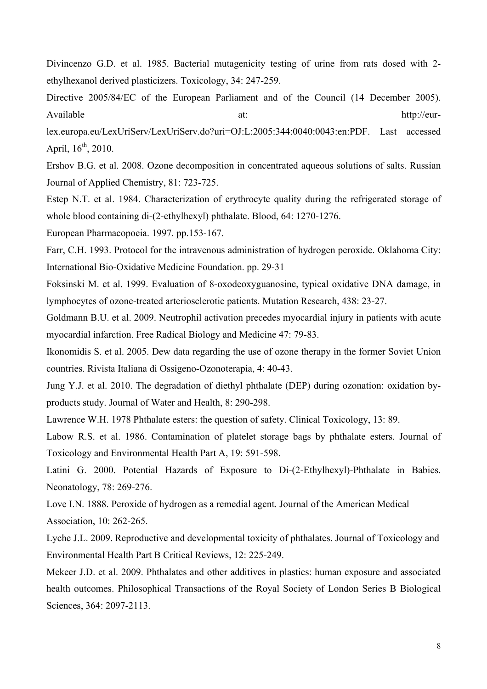Divincenzo G.D. et al. 1985. Bacterial mutagenicity testing of urine from rats dosed with 2 ethylhexanol derived plasticizers. Toxicology, 34: 247-259.

Directive 2005/84/EC of the European Parliament and of the Council (14 December 2005). Available at: http://eur-

lex.europa.eu/LexUriServ/LexUriServ.do?uri=OJ:L:2005:344:0040:0043:en:PDF. Last accessed April,  $16^{th}$ , 2010.

Ershov B.G. et al. 2008. Ozone decomposition in concentrated aqueous solutions of salts. Russian Journal of Applied Chemistry, 81: 723-725.

Estep N.T. et al. 1984. Characterization of erythrocyte quality during the refrigerated storage of whole blood containing di-(2-ethylhexyl) phthalate. Blood, 64: 1270-1276.

European Pharmacopoeia. 1997. pp.153-167.

Farr, C.H. 1993. Protocol for the intravenous administration of hydrogen peroxide. Oklahoma City: International Bio-Oxidative Medicine Foundation. pp. 29-31

Foksinski M. et al. 1999. Evaluation of 8-oxodeoxyguanosine, typical oxidative DNA damage, in lymphocytes of ozone-treated arteriosclerotic patients. Mutation Research, 438: 23-27.

Goldmann B.U. et al. 2009. Neutrophil activation precedes myocardial injury in patients with acute myocardial infarction. Free Radical Biology and Medicine 47: 79-83.

Ikonomidis S. et al. 2005. Dew data regarding the use of ozone therapy in the former Soviet Union countries. Rivista Italiana di Ossigeno-Ozonoterapia, 4: 40-43.

Jung Y.J. et al. 2010. The degradation of diethyl phthalate (DEP) during ozonation: oxidation byproducts study. Journal of Water and Health, 8: 290-298.

Lawrence W.H. 1978 Phthalate esters: the question of safety. Clinical Toxicology, 13: 89.

Labow R.S. et al. 1986. Contamination of platelet storage bags by phthalate esters. Journal of Toxicology and Environmental Health Part A, 19: 591-598.

Latini G. 2000. Potential Hazards of Exposure to Di-(2-Ethylhexyl)-Phthalate in Babies. Neonatology, 78: 269-276.

Love I.N. 1888. Peroxide of hydrogen as a remedial agent. Journal of the American Medical Association, 10: 262-265.

Lyche J.L. 2009. Reproductive and developmental toxicity of phthalates. Journal of Toxicology and Environmental Health Part B Critical Reviews, 12: 225-249.

Mekeer J.D. et al. 2009. Phthalates and other additives in plastics: human exposure and associated health outcomes. Philosophical Transactions of the Royal Society of London Series B Biological Sciences, 364: 2097-2113.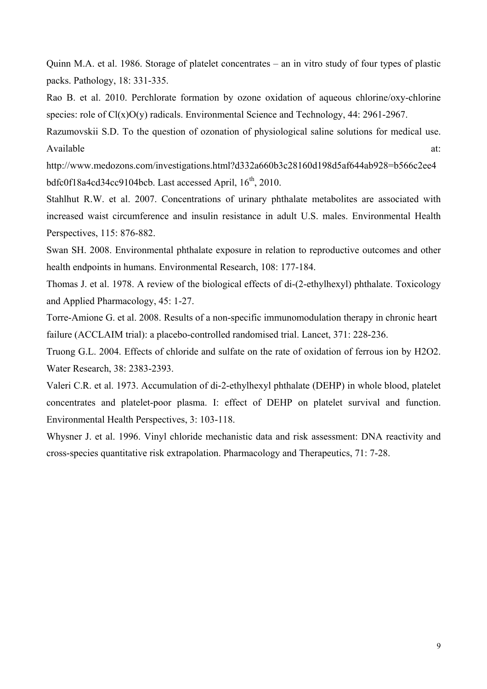Quinn M.A. et al. 1986. Storage of platelet concentrates – an in vitro study of four types of plastic packs. Pathology, 18: 331-335.

Rao B. et al. 2010. Perchlorate formation by ozone oxidation of aqueous chlorine/oxy-chlorine species: role of Cl(x)O(y) radicals. Environmental Science and Technology, 44: 2961-2967.

Razumovskii S.D. To the question of ozonation of physiological saline solutions for medical use. Available at:  $\alpha$ 

http://www.medozons.com/investigations.html?d332a660b3c28160d198d5af644ab928=b566c2ee4 bdfc0f18a4cd34cc9104bcb. Last accessed April,  $16<sup>th</sup>$ , 2010.

Stahlhut R.W. et al. 2007. Concentrations of urinary phthalate metabolites are associated with increased waist circumference and insulin resistance in adult U.S. males. Environmental Health Perspectives, 115: 876-882.

Swan SH. 2008. Environmental phthalate exposure in relation to reproductive outcomes and other health endpoints in humans. Environmental Research, 108: 177-184.

Thomas J. et al. 1978. A review of the biological effects of di-(2-ethylhexyl) phthalate. Toxicology and Applied Pharmacology, 45: 1-27.

Torre-Amione G. et al. 2008. Results of a non-specific immunomodulation therapy in chronic heart failure (ACCLAIM trial): a placebo-controlled randomised trial. Lancet, 371: 228-236.

Truong G.L. 2004. Effects of chloride and sulfate on the rate of oxidation of ferrous ion by H2O2. Water Research, 38: 2383-2393.

Valeri C.R. et al. 1973. Accumulation of di-2-ethylhexyl phthalate (DEHP) in whole blood, platelet concentrates and platelet-poor plasma. I: effect of DEHP on platelet survival and function. Environmental Health Perspectives, 3: 103-118.

Whysner J. et al. 1996. Vinyl chloride mechanistic data and risk assessment: DNA reactivity and cross-species quantitative risk extrapolation. Pharmacology and Therapeutics, 71: 7-28.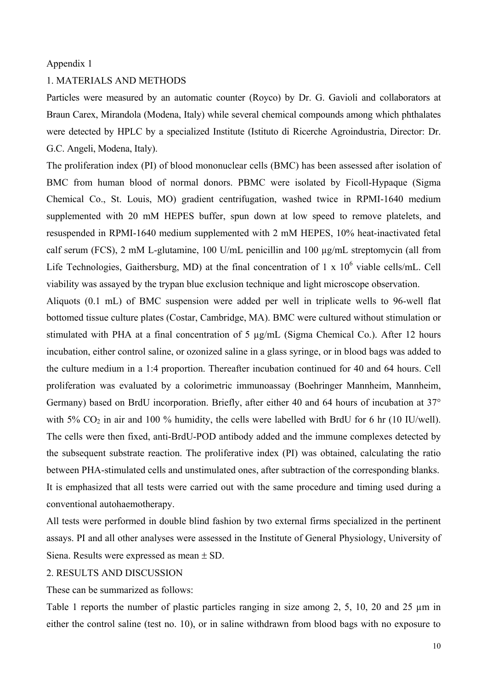### Appendix 1

# 1. MATERIALS AND METHODS

Particles were measured by an automatic counter (Royco) by Dr. G. Gavioli and collaborators at Braun Carex, Mirandola (Modena, Italy) while several chemical compounds among which phthalates were detected by HPLC by a specialized Institute (Istituto di Ricerche Agroindustria, Director: Dr. G.C. Angeli, Modena, Italy).

The proliferation index (PI) of blood mononuclear cells (BMC) has been assessed after isolation of BMC from human blood of normal donors. PBMC were isolated by Ficoll-Hypaque (Sigma Chemical Co., St. Louis, MO) gradient centrifugation, washed twice in RPMI-1640 medium supplemented with 20 mM HEPES buffer, spun down at low speed to remove platelets, and resuspended in RPMI-1640 medium supplemented with 2 mM HEPES, 10% heat-inactivated fetal calf serum (FCS), 2 mM L-glutamine, 100 U/mL penicillin and 100 µg/mL streptomycin (all from Life Technologies, Gaithersburg, MD) at the final concentration of  $1 \times 10^6$  viable cells/mL. Cell viability was assayed by the trypan blue exclusion technique and light microscope observation.

Aliquots (0.1 mL) of BMC suspension were added per well in triplicate wells to 96-well flat bottomed tissue culture plates (Costar, Cambridge, MA). BMC were cultured without stimulation or stimulated with PHA at a final concentration of 5 µg/mL (Sigma Chemical Co.). After 12 hours incubation, either control saline, or ozonized saline in a glass syringe, or in blood bags was added to the culture medium in a 1:4 proportion. Thereafter incubation continued for 40 and 64 hours. Cell proliferation was evaluated by a colorimetric immunoassay (Boehringer Mannheim, Mannheim, Germany) based on BrdU incorporation. Briefly, after either 40 and 64 hours of incubation at 37° with 5%  $CO<sub>2</sub>$  in air and 100 % humidity, the cells were labelled with BrdU for 6 hr (10 IU/well). The cells were then fixed, anti-BrdU-POD antibody added and the immune complexes detected by the subsequent substrate reaction. The proliferative index (PI) was obtained, calculating the ratio between PHA-stimulated cells and unstimulated ones, after subtraction of the corresponding blanks. It is emphasized that all tests were carried out with the same procedure and timing used during a conventional autohaemotherapy.

All tests were performed in double blind fashion by two external firms specialized in the pertinent assays. PI and all other analyses were assessed in the Institute of General Physiology, University of Siena. Results were expressed as mean ± SD.

# 2. RESULTS AND DISCUSSION

These can be summarized as follows:

Table 1 reports the number of plastic particles ranging in size among 2, 5, 10, 20 and 25  $\mu$ m in either the control saline (test no. 10), or in saline withdrawn from blood bags with no exposure to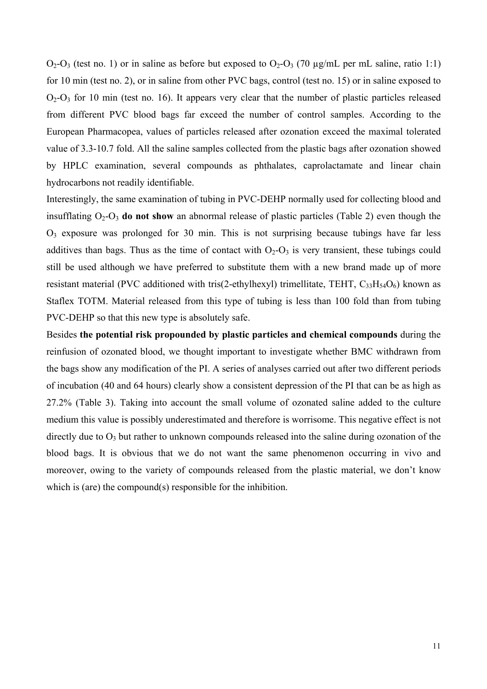$O_2-O_3$  (test no. 1) or in saline as before but exposed to  $O_2-O_3$  (70 µg/mL per mL saline, ratio 1:1) for 10 min (test no. 2), or in saline from other PVC bags, control (test no. 15) or in saline exposed to  $O_2-O_3$  for 10 min (test no. 16). It appears very clear that the number of plastic particles released from different PVC blood bags far exceed the number of control samples. According to the European Pharmacopea, values of particles released after ozonation exceed the maximal tolerated value of 3.3-10.7 fold. All the saline samples collected from the plastic bags after ozonation showed by HPLC examination, several compounds as phthalates, caprolactamate and linear chain hydrocarbons not readily identifiable.

Interestingly, the same examination of tubing in PVC-DEHP normally used for collecting blood and insufflating  $O_2-O_3$  **do not show** an abnormal release of plastic particles (Table 2) even though the  $O_3$  exposure was prolonged for 30 min. This is not surprising because tubings have far less additives than bags. Thus as the time of contact with  $O_2-O_3$  is very transient, these tubings could still be used although we have preferred to substitute them with a new brand made up of more resistant material (PVC additioned with tris(2-ethylhexyl) trimellitate, TEHT,  $C_{33}H_{54}O_6$ ) known as Staflex TOTM. Material released from this type of tubing is less than 100 fold than from tubing PVC-DEHP so that this new type is absolutely safe.

Besides **the potential risk propounded by plastic particles and chemical compounds** during the reinfusion of ozonated blood, we thought important to investigate whether BMC withdrawn from the bags show any modification of the PI. A series of analyses carried out after two different periods of incubation (40 and 64 hours) clearly show a consistent depression of the PI that can be as high as 27.2% (Table 3). Taking into account the small volume of ozonated saline added to the culture medium this value is possibly underestimated and therefore is worrisome. This negative effect is not directly due to  $O_3$  but rather to unknown compounds released into the saline during ozonation of the blood bags. It is obvious that we do not want the same phenomenon occurring in vivo and moreover, owing to the variety of compounds released from the plastic material, we don't know which is (are) the compound(s) responsible for the inhibition.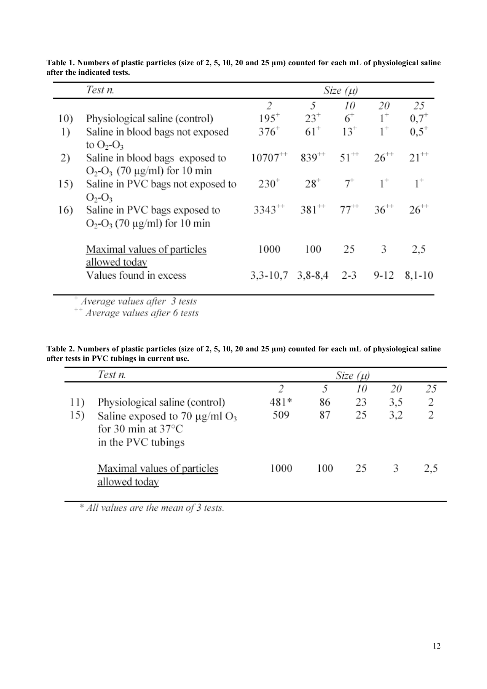|     | Test n.                                                            | Size $(\mu)$   |                                  |           |           |           |  |
|-----|--------------------------------------------------------------------|----------------|----------------------------------|-----------|-----------|-----------|--|
|     |                                                                    | $\overline{c}$ | 5                                | 10        | 20        | 25        |  |
| 10) | Physiological saline (control)                                     | $195^{+}$      | $23^{+}$                         | $6+$      | $1^+$     | $0.7^{+}$ |  |
| 1)  | Saline in blood bags not exposed<br>to $O_2-O_3$                   | $376^{+}$      | $61^{+}$                         | $13^{+}$  | $1^+$     | $0.5^+$   |  |
| 2)  | Saline in blood bags exposed to<br>$O_2-O_3$ (70 μg/ml) for 10 min | $10707^{++}$   | $839^{++}$                       | $51^{++}$ | $26^{++}$ | $21^{++}$ |  |
| 15) | Saline in PVC bags not exposed to<br>$O_2-O_3$                     | $230^{+}$      | $28^{+}$                         | $7^+$     | $1^+$     | $1^+$     |  |
| 16) | Saline in PVC bags exposed to<br>$O_2-O_3$ (70 µg/ml) for 10 min   |                | $3343^{++}$ $381^{++}$ $77^{++}$ |           | $36^{++}$ | $26^{++}$ |  |
|     | Maximal values of particles<br>allowed today                       | 1000           | 100                              | 25        | 3         | 2,5       |  |
|     | Values found in excess                                             | $3,3-10,7$     | $3,8 - 8,4$                      | $2 - 3$   | $9-12$    | 8.1-10    |  |

**Table 1. Numbers of plastic particles (size of 2, 5, 10, 20 and 25 µm) counted for each mL of physiological saline after the indicated tests.** 

 $+$  Average values after 3 tests<br> $+$  Average values after 6 tests

#### **Table 2. Numbers of plastic particles (size of 2, 5, 10, 20 and 25 µm) counted for each mL of physiological saline after tests in PVC tubings in current use.**

|            | Test n.                                                                          | Size $(\mu)$     |               |                |                  |              |
|------------|----------------------------------------------------------------------------------|------------------|---------------|----------------|------------------|--------------|
| 11)<br>15) | Physiological saline (control)<br>Saline exposed to 70 $\mu$ g/ml O <sub>3</sub> | 2<br>481*<br>509 | 5<br>86<br>87 | 10<br>23<br>25 | 20<br>3.5<br>3.2 | 25<br>2<br>2 |
|            | for 30 min at $37^{\circ}$ C<br>in the PVC tubings                               |                  |               |                |                  |              |
|            | Maximal values of particles<br>allowed today                                     | 1000             | 100           | 25             | 3                | 2.5          |

\* All values are the mean of 3 tests.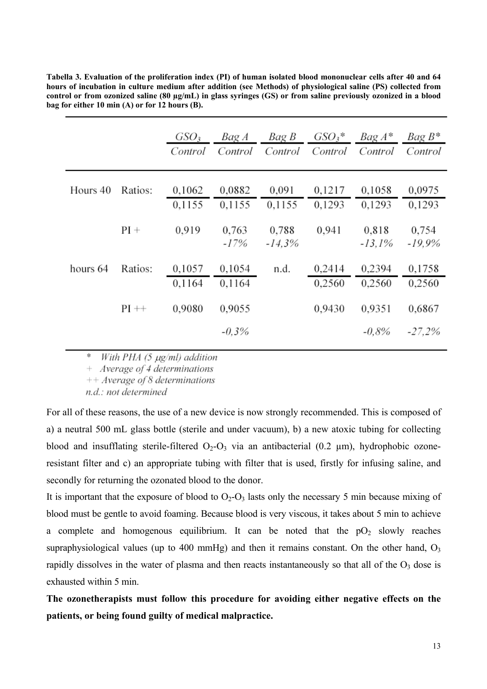|                     | GSO <sub>3</sub><br>Control | Bag A<br>Control | Bag B             | $GSO_3$ *<br>Control Control | Bag A*<br>Control  | $BaqB*$<br>Control |
|---------------------|-----------------------------|------------------|-------------------|------------------------------|--------------------|--------------------|
| Hours 40<br>Ratios: | 0,1062<br>0,1155            | 0,0882<br>0,1155 | 0.091<br>0,1155   | 0.1217<br>0,1293             | 0,1058<br>0,1293   | 0,0975<br>0,1293   |
| $PI +$              | 0.919                       | 0.763<br>$-17%$  | 0.788<br>$-14.3%$ | 0.941                        | 0.818<br>$-13.1\%$ | 0,754<br>$-19.9\%$ |
| hours 64<br>Ratios: | 0,1057<br>0,1164            | 0,1054<br>0,1164 | n.d.              | 0,2414<br>0.2560             | 0.2394<br>0.2560   | 0,1758<br>0,2560   |
| $PI ++$             | 0.9080                      | 0,9055           |                   | 0.9430                       | 0.9351             | 0,6867             |
|                     |                             | $-0.3\%$         |                   |                              | $-0.8\%$           | $-27.2%$           |

**Tabella 3. Evaluation of the proliferation index (PI) of human isolated blood mononuclear cells after 40 and 64 hours of incubation in culture medium after addition (see Methods) of physiological saline (PS) collected from control or from ozonized saline (80 µg/mL) in glass syringes (GS) or from saline previously ozonized in a blood bag for either 10 min (A) or for 12 hours (B).** 

\* With PHA (5 µg/ml) addition

 $+$  Average of 4 determinations

 $++$  Average of 8 determinations

n.d.: not determined

For all of these reasons, the use of a new device is now strongly recommended. This is composed of a) a neutral 500 mL glass bottle (sterile and under vacuum), b) a new atoxic tubing for collecting blood and insufflating sterile-filtered  $O_2-O_3$  via an antibacterial (0.2  $\mu$ m), hydrophobic ozoneresistant filter and c) an appropriate tubing with filter that is used, firstly for infusing saline, and secondly for returning the ozonated blood to the donor.

It is important that the exposure of blood to  $O_2$ - $O_3$  lasts only the necessary 5 min because mixing of blood must be gentle to avoid foaming. Because blood is very viscous, it takes about 5 min to achieve a complete and homogenous equilibrium. It can be noted that the  $pO<sub>2</sub>$  slowly reaches supraphysiological values (up to 400 mmHg) and then it remains constant. On the other hand,  $O_3$ rapidly dissolves in the water of plasma and then reacts instantaneously so that all of the  $O<sub>3</sub>$  dose is exhausted within 5 min.

**The ozonetherapists must follow this procedure for avoiding either negative effects on the patients, or being found guilty of medical malpractice.**